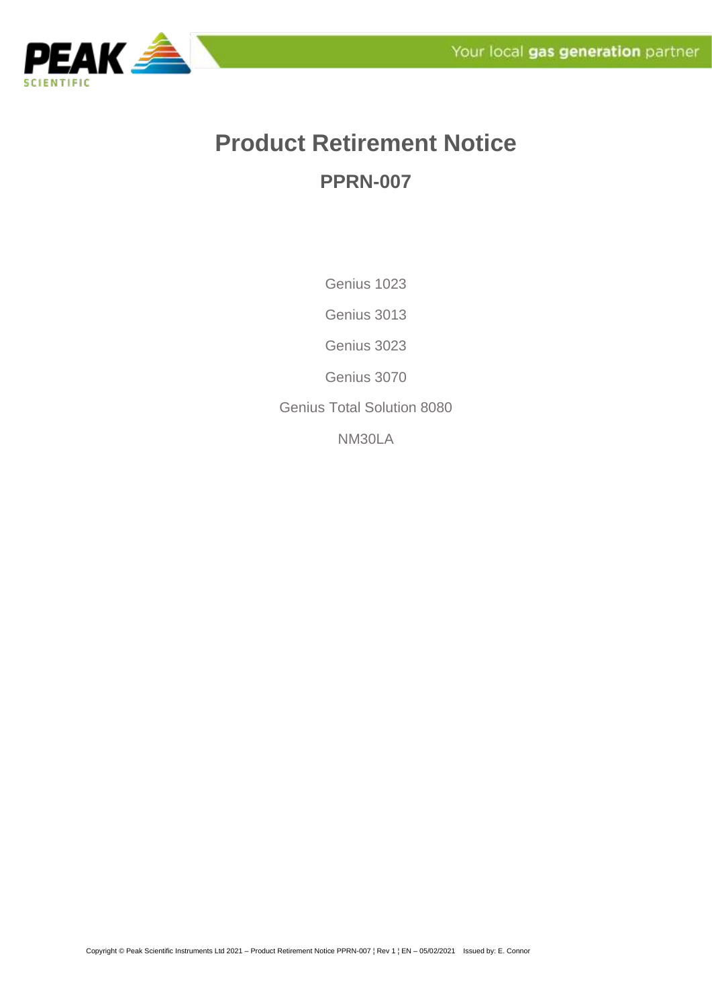

## **Product Retirement Notice PPRN-007**

Genius 1023

Genius 3013

Genius 3023

Genius 3070

Genius Total Solution 8080

NM30LA